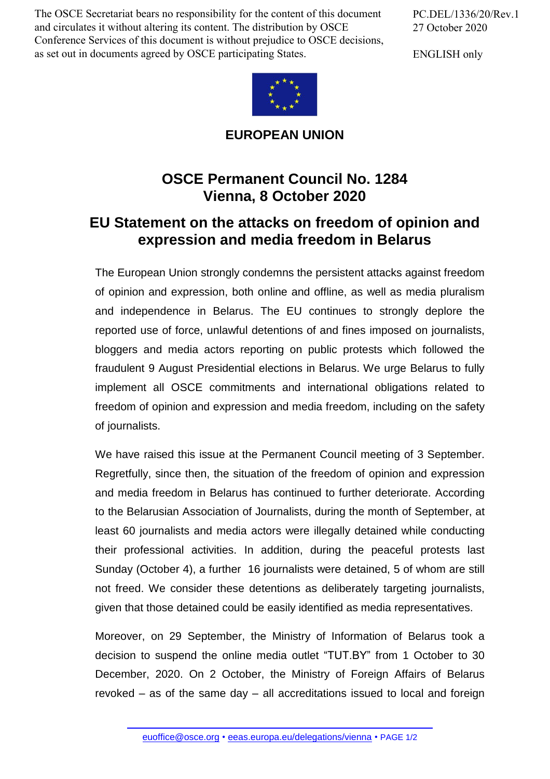The OSCE Secretariat bears no responsibility for the content of this document and circulates it without altering its content. The distribution by OSCE Conference Services of this document is without prejudice to OSCE decisions, as set out in documents agreed by OSCE participating States.

PC.DEL/1336/20/Rev.1 27 October 2020

ENGLISH only



**EUROPEAN UNION**

## **OSCE Permanent Council No. 1284 Vienna, 8 October 2020**

## **EU Statement on the attacks on freedom of opinion and expression and media freedom in Belarus**

The European Union strongly condemns the persistent attacks against freedom of opinion and expression, both online and offline, as well as media pluralism and independence in Belarus. The EU continues to strongly deplore the reported use of force, unlawful detentions of and fines imposed on journalists, bloggers and media actors reporting on public protests which followed the fraudulent 9 August Presidential elections in Belarus. We urge Belarus to fully implement all OSCE commitments and international obligations related to freedom of opinion and expression and media freedom, including on the safety of journalists.

We have raised this issue at the Permanent Council meeting of 3 September. Regretfully, since then, the situation of the freedom of opinion and expression and media freedom in Belarus has continued to further deteriorate. According to the Belarusian Association of Journalists, during the month of September, at least 60 journalists and media actors were illegally detained while conducting their professional activities. In addition, during the peaceful protests last Sunday (October 4), a further 16 journalists were detained, 5 of whom are still not freed. We consider these detentions as deliberately targeting journalists, given that those detained could be easily identified as media representatives.

Moreover, on 29 September, the Ministry of Information of Belarus took a decision to suspend the online media outlet "TUT.BY" from 1 October to 30 December, 2020. On 2 October, the Ministry of Foreign Affairs of Belarus revoked – as of the same day – all accreditations issued to local and foreign